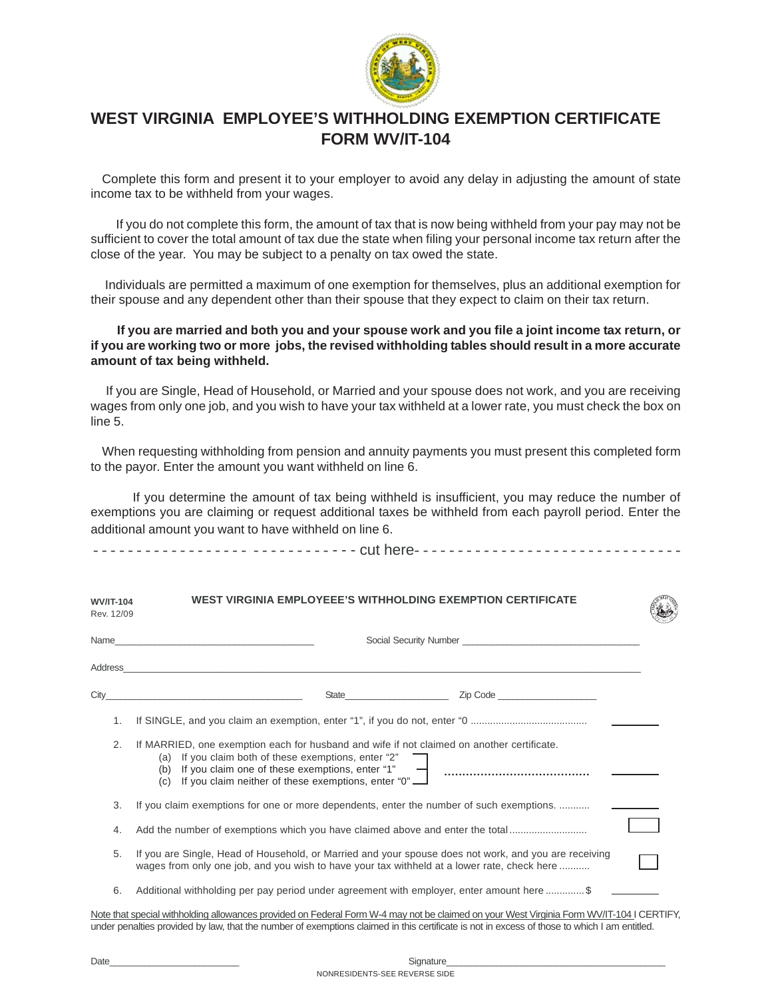

## **WEST VIRGINIA EMPLOYEE'S WITHHOLDING EXEMPTION CERTIFICATE FORM WV/IT-104**

Complete this form and present it to your employer to avoid any delay in adjusting the amount of state income tax to be withheld from your wages.

 If you do not complete this form, the amount of tax that is now being withheld from your pay may not be sufficient to cover the total amount of tax due the state when filing your personal income tax return after the close of the year. You may be subject to a penalty on tax owed the state.

 Individuals are permitted a maximum of one exemption for themselves, plus an additional exemption for their spouse and any dependent other than their spouse that they expect to claim on their tax return.

## **If you are married and both you and your spouse work and you file a joint income tax return, or if you are working two or more jobs, the revised withholding tables should result in a more accurate amount of tax being withheld.**

If you are Single, Head of Household, or Married and your spouse does not work, and you are receiving wages from only one job, and you wish to have your tax withheld at a lower rate, you must check the box on line 5.

When requesting withholding from pension and annuity payments you must present this completed form to the payor. Enter the amount you want withheld on line 6.

 If you determine the amount of tax being withheld is insufficient, you may reduce the number of exemptions you are claiming or request additional taxes be withheld from each payroll period. Enter the additional amount you want to have withheld on line 6.

- - - - - - - - - - - - - - - - - - - - - - - - - - - - - - cut here- - - - - - - - - - - - - - - - - - - - - - - - - - - - - - -

| <b>WV/IT-104</b><br>Rev. 12/09 | WEST VIRGINIA EMPLOYEEE'S WITHHOLDING EXEMPTION CERTIFICATE                                                                                                                                                                                                                              |  |  |
|--------------------------------|------------------------------------------------------------------------------------------------------------------------------------------------------------------------------------------------------------------------------------------------------------------------------------------|--|--|
| Name                           |                                                                                                                                                                                                                                                                                          |  |  |
| Address                        |                                                                                                                                                                                                                                                                                          |  |  |
| City                           | Zip Code<br>State <b>State State State</b>                                                                                                                                                                                                                                               |  |  |
| 1.                             |                                                                                                                                                                                                                                                                                          |  |  |
| 2.                             | If MARRIED, one exemption each for husband and wife if not claimed on another certificate.<br>(a) If you claim both of these exemptions, enter "2"<br>(b) If you claim one of these exemptions, enter "1"<br>(c) If you claim neither of these exemptions, enter "0"                     |  |  |
| 3.                             | If you claim exemptions for one or more dependents, enter the number of such exemptions.                                                                                                                                                                                                 |  |  |
| 4.                             | Add the number of exemptions which you have claimed above and enter the total                                                                                                                                                                                                            |  |  |
| 5.                             | If you are Single, Head of Household, or Married and your spouse does not work, and you are receiving<br>wages from only one job, and you wish to have your tax withheld at a lower rate, check here                                                                                     |  |  |
| 6.                             | Additional withholding per pay period under agreement with employer, enter amount here \$                                                                                                                                                                                                |  |  |
|                                | Note that special withholding allowances provided on Federal Form W-4 may not be claimed on your West Virginia Form WV/IT-104 I CERTIFY,<br>under penalties provided by law, that the number of exemptions claimed in this certificate is not in excess of those to which I am entitled. |  |  |